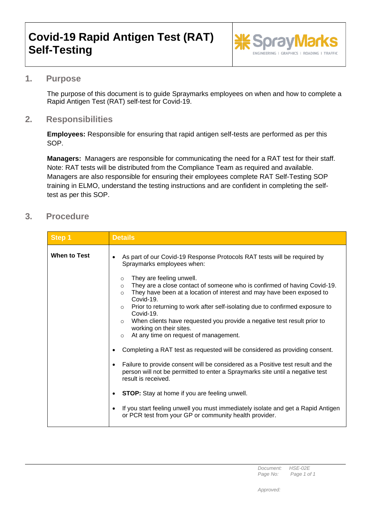

### **1. Purpose**

The purpose of this document is to guide Spraymarks employees on when and how to complete a Rapid Antigen Test (RAT) self-test for Covid-19.

#### **2. Responsibilities**

**Employees:** Responsible for ensuring that rapid antigen self-tests are performed as per this SOP.

**Managers:** Managers are responsible for communicating the need for a RAT test for their staff. Note: RAT tests will be distributed from the Compliance Team as required and available. Managers are also responsible for ensuring their employees complete RAT Self-Testing SOP training in ELMO, understand the testing instructions and are confident in completing the selftest as per this SOP.

#### **3. Procedure**

| Step 1              | <b>Details</b>                                                                                                                                                                                                                                                                                                                                                                                                                                                                                                                                                                                                                                                                                                                                                                                                                                                                                                                                                                                                                                                                                                               |
|---------------------|------------------------------------------------------------------------------------------------------------------------------------------------------------------------------------------------------------------------------------------------------------------------------------------------------------------------------------------------------------------------------------------------------------------------------------------------------------------------------------------------------------------------------------------------------------------------------------------------------------------------------------------------------------------------------------------------------------------------------------------------------------------------------------------------------------------------------------------------------------------------------------------------------------------------------------------------------------------------------------------------------------------------------------------------------------------------------------------------------------------------------|
| <b>When to Test</b> | As part of our Covid-19 Response Protocols RAT tests will be required by<br>Spraymarks employees when:<br>They are feeling unwell.<br>$\circ$<br>They are a close contact of someone who is confirmed of having Covid-19.<br>$\circ$<br>They have been at a location of interest and may have been exposed to<br>$\circ$<br>Covid-19.<br>Prior to returning to work after self-isolating due to confirmed exposure to<br>$\circ$<br>Covid-19.<br>When clients have requested you provide a negative test result prior to<br>$\circ$<br>working on their sites.<br>At any time on request of management.<br>$\circ$<br>Completing a RAT test as requested will be considered as providing consent.<br>Failure to provide consent will be considered as a Positive test result and the<br>$\bullet$<br>person will not be permitted to enter a Spraymarks site until a negative test<br>result is received.<br><b>STOP:</b> Stay at home if you are feeling unwell.<br>If you start feeling unwell you must immediately isolate and get a Rapid Antigen<br>$\bullet$<br>or PCR test from your GP or community health provider. |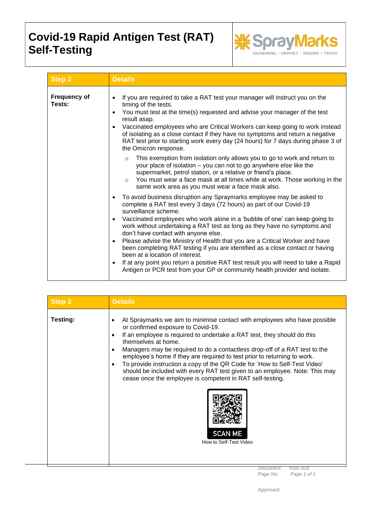

| <b>Step 2</b>                 | <b>Details</b>                                                                                                                                                                                                                                                                                                                                                                                                                                                                                                                                                                                                                                                                                                                                                            |
|-------------------------------|---------------------------------------------------------------------------------------------------------------------------------------------------------------------------------------------------------------------------------------------------------------------------------------------------------------------------------------------------------------------------------------------------------------------------------------------------------------------------------------------------------------------------------------------------------------------------------------------------------------------------------------------------------------------------------------------------------------------------------------------------------------------------|
| <b>Frequency of</b><br>Tests: | If you are required to take a RAT test your manager will instruct you on the<br>timing of the tests.<br>You must test at the time(s) requested and advise your manager of the test<br>result asap.<br>Vaccinated employees who are Critical Workers can keep going to work instead<br>of isolating as a close contact if they have no symptoms and return a negative<br>RAT test prior to starting work every day (24 hours) for 7 days during phase 3 of<br>the Omicron response.                                                                                                                                                                                                                                                                                        |
|                               | This exemption from isolation only allows you to go to work and return to<br>$\circ$<br>your place of isolation - you can not to go anywhere else like the<br>supermarket, petrol station, or a relative or friend's place.<br>You must wear a face mask at all times while at work. Those working in the<br>$\circ$<br>same work area as you must wear a face mask also.                                                                                                                                                                                                                                                                                                                                                                                                 |
|                               | To avoid business disruption any Spraymarks employee may be asked to<br>complete a RAT test every 3 days (72 hours) as part of our Covid-19<br>surveillance scheme.<br>Vaccinated employees who work alone in a 'bubble of one' can keep going to<br>work without undertaking a RAT test as long as they have no symptoms and<br>don't have contact with anyone else.<br>Please advise the Ministry of Health that you are a Critical Worker and have<br>$\bullet$<br>been completing RAT testing if you are identified as a close contact or having<br>been at a location of interest.<br>If at any point you return a positive RAT test result you will need to take a Rapid<br>$\bullet$<br>Antigen or PCR test from your GP or community health provider and isolate. |

| <b>Step 3</b>   | <b>Details</b>                                                                                                                                                                                                                                                                                                                                                                                                                                                                                                                                                                                                                                   |
|-----------------|--------------------------------------------------------------------------------------------------------------------------------------------------------------------------------------------------------------------------------------------------------------------------------------------------------------------------------------------------------------------------------------------------------------------------------------------------------------------------------------------------------------------------------------------------------------------------------------------------------------------------------------------------|
| <b>Testing:</b> | At Spraymarks we aim to minimise contact with employees who have possible<br>or confirmed exposure to Covid-19.<br>If an employee is required to undertake a RAT test, they should do this<br>themselves at home.<br>Managers may be required to do a contactless drop-off of a RAT test to the<br>employee's home if they are required to test prior to returning to work.<br>To provide instruction a copy of the QR Code for 'How to Self-Test Video'<br>should be included with every RAT test given to an employee. Note: This may<br>cease once the employee is competent in RAT self-testing.<br><b>SCAN ME</b><br>How to Self-Test Video |

*Document: HSE-02E Page No: Page 1 of 1*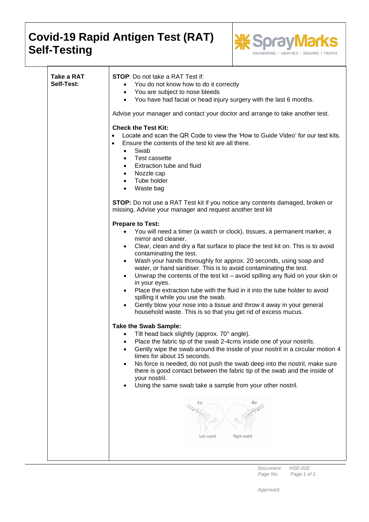

| Take a RAT<br>Self-Test: | <b>STOP:</b> Do not take a RAT Test if:<br>You do not know how to do it correctly<br>$\bullet$<br>• You are subject to nose bleeds<br>You have had facial or head injury surgery with the last 6 months.<br>$\bullet$<br>Advise your manager and contact your doctor and arrange to take another test.                                                                                                                                                                                                                                                                                                                                                                                                                                                                             |
|--------------------------|------------------------------------------------------------------------------------------------------------------------------------------------------------------------------------------------------------------------------------------------------------------------------------------------------------------------------------------------------------------------------------------------------------------------------------------------------------------------------------------------------------------------------------------------------------------------------------------------------------------------------------------------------------------------------------------------------------------------------------------------------------------------------------|
|                          | <b>Check the Test Kit:</b><br>Locate and scan the QR Code to view the 'How to Guide Video' for our test kits.<br>Ensure the contents of the test kit are all there.<br>$\bullet$<br>Swab<br>$\bullet$<br>Test cassette<br>$\bullet$<br>Extraction tube and fluid<br>$\bullet$<br>Nozzle cap<br>$\bullet$<br>Tube holder<br>$\bullet$<br>Waste bag<br>$\bullet$                                                                                                                                                                                                                                                                                                                                                                                                                     |
|                          | <b>STOP:</b> Do not use a RAT Test kit if you notice any contents damaged, broken or<br>missing. Advise your manager and request another test kit                                                                                                                                                                                                                                                                                                                                                                                                                                                                                                                                                                                                                                  |
|                          | <b>Prepare to Test:</b><br>You will need a timer (a watch or clock), tissues, a permanent marker, a<br>mirror and cleaner.<br>Clear, clean and dry a flat surface to place the test kit on. This is to avoid<br>$\bullet$<br>contaminating the test.<br>Wash your hands thoroughly for approx. 20 seconds, using soap and<br>$\bullet$<br>water, or hand sanitiser. This is to avoid contaminating the test.<br>Unwrap the contents of the test kit $-$ avoid spilling any fluid on your skin or<br>in your eyes.<br>Place the extraction tube with the fluid in it into the tube holder to avoid<br>spilling it while you use the swab.<br>Gently blow your nose into a tissue and throw it away in your general<br>household waste. This is so that you get rid of excess mucus. |
|                          | <b>Take the Swab Sample:</b><br>Tilt head back slightly (approx. 70° angle).<br>Place the fabric tip of the swab 2-4cms inside one of your nostrils.<br>$\bullet$<br>Gently wipe the swab around the inside of your nostril in a circular motion 4<br>times for about 15 seconds.<br>No force is needed, do not push the swab deep into the nostril, make sure<br>there is good contact between the fabric tip of the swab and the inside of<br>your nostril.<br>Using the same swab take a sample from your other nostril.                                                                                                                                                                                                                                                        |
|                          | Right nostril<br>Left nostril                                                                                                                                                                                                                                                                                                                                                                                                                                                                                                                                                                                                                                                                                                                                                      |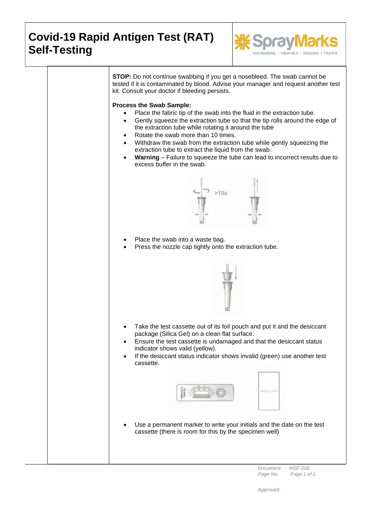

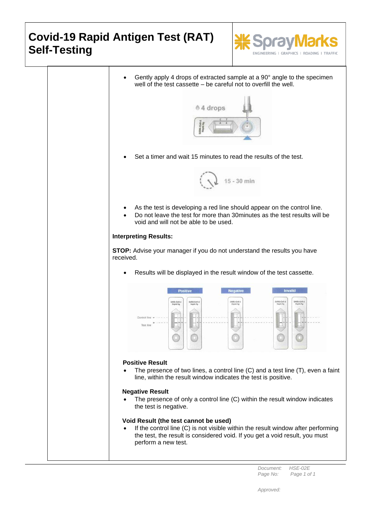